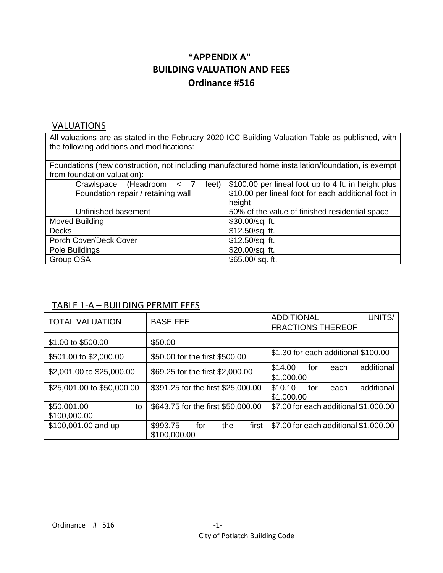## **"APPENDIX A" BUILDING VALUATION AND FEES Ordinance #516**

#### **VALUATIONS**

All valuations are as stated in the February 2020 ICC Building Valuation Table as published, with the following additions and modifications:

Foundations (new construction, not including manufactured home installation/foundation, is exempt from foundation valuation):

| Crawlspace (Headroom < 7           | feet) $\frac{1}{2}$ \$100.00 per lineal foot up to 4 ft. in height plus |  |  |  |  |
|------------------------------------|-------------------------------------------------------------------------|--|--|--|--|
| Foundation repair / retaining wall | \$10.00 per lineal foot for each additional foot in                     |  |  |  |  |
|                                    | height                                                                  |  |  |  |  |
| Unfinished basement                | 50% of the value of finished residential space                          |  |  |  |  |
| Moved Building                     | \$30.00/sq. ft.                                                         |  |  |  |  |
| <b>Decks</b>                       | \$12.50/sq. ft.                                                         |  |  |  |  |
| Porch Cover/Deck Cover             | \$12.50/sq. ft.                                                         |  |  |  |  |
| Pole Buildings                     | \$20.00/sq. ft.                                                         |  |  |  |  |
| Group OSA                          | \$65.00/sq.ft.                                                          |  |  |  |  |

### TABLE 1-A – BUILDING PERMIT FEES

| <b>TOTAL VALUATION</b>            | <b>BASE FEE</b>                                 | <b>ADDITIONAL</b><br>UNITS/<br><b>FRACTIONS THEREOF</b> |  |  |  |  |
|-----------------------------------|-------------------------------------------------|---------------------------------------------------------|--|--|--|--|
| \$1.00 to \$500.00                | \$50.00                                         |                                                         |  |  |  |  |
| \$501.00 to \$2,000.00            | \$50.00 for the first \$500.00                  | \$1.30 for each additional \$100.00                     |  |  |  |  |
| \$2,001.00 to \$25,000.00         | \$69.25 for the first \$2,000.00                | \$14.00<br>additional<br>for<br>each<br>\$1,000.00      |  |  |  |  |
| \$25,001.00 to \$50,000.00        | \$391.25 for the first \$25,000.00              | additional<br>\$10.10<br>for<br>each<br>\$1,000.00      |  |  |  |  |
| \$50,001.00<br>to<br>\$100,000.00 | \$643.75 for the first \$50,000.00              | \$7.00 for each additional \$1,000.00                   |  |  |  |  |
| \$100,001.00 and up               | \$993.75<br>first<br>the<br>for<br>\$100,000.00 | \$7.00 for each additional \$1,000.00                   |  |  |  |  |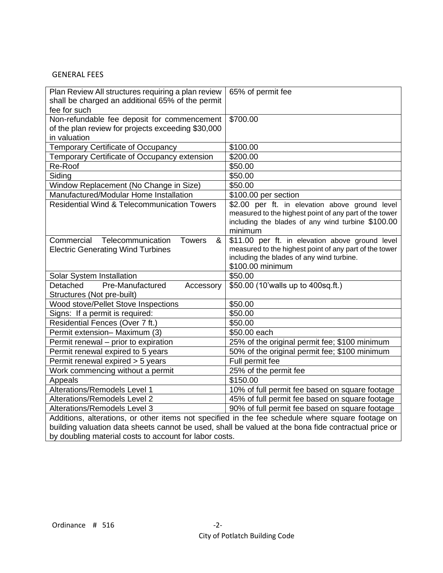#### GENERAL FEES

| Plan Review All structures requiring a plan review<br>shall be charged an additional 65% of the permit | 65% of permit fee                                                                                |  |  |  |  |
|--------------------------------------------------------------------------------------------------------|--------------------------------------------------------------------------------------------------|--|--|--|--|
| fee for such                                                                                           |                                                                                                  |  |  |  |  |
| Non-refundable fee deposit for commencement                                                            | \$700.00                                                                                         |  |  |  |  |
| of the plan review for projects exceeding \$30,000                                                     |                                                                                                  |  |  |  |  |
| in valuation                                                                                           |                                                                                                  |  |  |  |  |
| Temporary Certificate of Occupancy                                                                     | \$100.00                                                                                         |  |  |  |  |
| Temporary Certificate of Occupancy extension                                                           | \$200.00                                                                                         |  |  |  |  |
| Re-Roof                                                                                                | \$50.00                                                                                          |  |  |  |  |
| Siding                                                                                                 | \$50.00                                                                                          |  |  |  |  |
| Window Replacement (No Change in Size)                                                                 | \$50.00                                                                                          |  |  |  |  |
| Manufactured/Modular Home Installation                                                                 | \$100.00 per section                                                                             |  |  |  |  |
| Residential Wind & Telecommunication Towers                                                            | \$2.00 per ft. in elevation above ground level                                                   |  |  |  |  |
|                                                                                                        | measured to the highest point of any part of the tower                                           |  |  |  |  |
|                                                                                                        | including the blades of any wind turbine \$100.00                                                |  |  |  |  |
|                                                                                                        | minimum                                                                                          |  |  |  |  |
| Commercial Telecommunication<br><b>Towers</b><br>&                                                     | \$11.00 per ft. in elevation above ground level                                                  |  |  |  |  |
| <b>Electric Generating Wind Turbines</b>                                                               | measured to the highest point of any part of the tower                                           |  |  |  |  |
|                                                                                                        | including the blades of any wind turbine.<br>\$100.00 minimum                                    |  |  |  |  |
| Solar System Installation                                                                              | \$50.00                                                                                          |  |  |  |  |
| Detached<br>Pre-Manufactured<br>Accessory                                                              | \$50.00 (10'walls up to 400sq.ft.)                                                               |  |  |  |  |
| Structures (Not pre-built)                                                                             |                                                                                                  |  |  |  |  |
| Wood stove/Pellet Stove Inspections                                                                    | \$50.00                                                                                          |  |  |  |  |
| Signs: If a permit is required:                                                                        | \$50.00                                                                                          |  |  |  |  |
| Residential Fences (Over 7 ft.)                                                                        | \$50.00                                                                                          |  |  |  |  |
| Permit extension- Maximum (3)                                                                          | \$50.00 each                                                                                     |  |  |  |  |
| Permit renewal - prior to expiration                                                                   | 25% of the original permit fee; \$100 minimum                                                    |  |  |  |  |
| Permit renewal expired to 5 years                                                                      | 50% of the original permit fee; \$100 minimum                                                    |  |  |  |  |
| Permit renewal expired > 5 years                                                                       | Full permit fee                                                                                  |  |  |  |  |
| Work commencing without a permit                                                                       | 25% of the permit fee                                                                            |  |  |  |  |
|                                                                                                        | \$150.00                                                                                         |  |  |  |  |
| Appeals<br>Alterations/Remodels Level 1                                                                |                                                                                                  |  |  |  |  |
| <b>Alterations/Remodels Level 2</b>                                                                    | 10% of full permit fee based on square footage<br>45% of full permit fee based on square footage |  |  |  |  |
| <b>Alterations/Remodels Level 3</b>                                                                    | 90% of full permit fee based on square footage                                                   |  |  |  |  |
|                                                                                                        |                                                                                                  |  |  |  |  |
| Additions, alterations, or other items not specified in the fee schedule where square footage on       |                                                                                                  |  |  |  |  |
| building valuation data sheets cannot be used, shall be valued at the bona fide contractual price or   |                                                                                                  |  |  |  |  |

by doubling material costs to account for labor costs.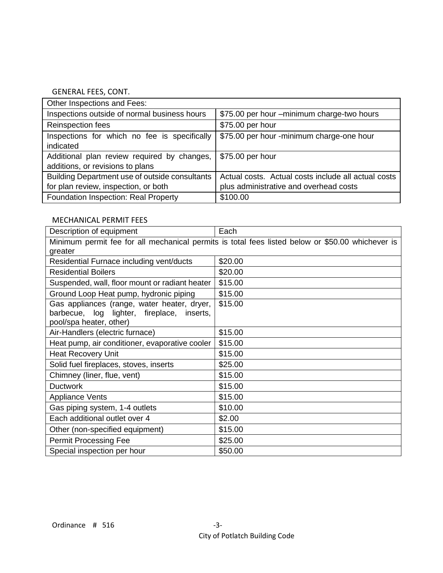#### GENERAL FEES, CONT.

| Other Inspections and Fees:                    |                                                     |
|------------------------------------------------|-----------------------------------------------------|
| Inspections outside of normal business hours   | \$75.00 per hour -minimum charge-two hours          |
| Reinspection fees                              | \$75.00 per hour                                    |
| Inspections for which no fee is specifically   | \$75.00 per hour -minimum charge-one hour           |
| indicated                                      |                                                     |
| Additional plan review required by changes,    | \$75.00 per hour                                    |
| additions, or revisions to plans               |                                                     |
| Building Department use of outside consultants | Actual costs. Actual costs include all actual costs |
| for plan review, inspection, or both           | plus administrative and overhead costs              |
| Foundation Inspection: Real Property           | \$100.00                                            |

### MECHANICAL PERMIT FEES

| Description of equipment                                                                                                | Each                                                                                             |
|-------------------------------------------------------------------------------------------------------------------------|--------------------------------------------------------------------------------------------------|
|                                                                                                                         | Minimum permit fee for all mechanical permits is total fees listed below or \$50.00 whichever is |
| greater                                                                                                                 |                                                                                                  |
| Residential Furnace including vent/ducts                                                                                | \$20.00                                                                                          |
| <b>Residential Boilers</b>                                                                                              | \$20.00                                                                                          |
| Suspended, wall, floor mount or radiant heater                                                                          | \$15.00                                                                                          |
| Ground Loop Heat pump, hydronic piping                                                                                  | \$15.00                                                                                          |
| Gas appliances (range, water heater, dryer,<br>barbecue, log lighter, fireplace,<br>inserts,<br>pool/spa heater, other) | \$15.00                                                                                          |
| Air-Handlers (electric furnace)                                                                                         | \$15.00                                                                                          |
| Heat pump, air conditioner, evaporative cooler                                                                          | \$15.00                                                                                          |
| <b>Heat Recovery Unit</b>                                                                                               | \$15.00                                                                                          |
| Solid fuel fireplaces, stoves, inserts                                                                                  | \$25.00                                                                                          |
| Chimney (liner, flue, vent)                                                                                             | \$15.00                                                                                          |
| <b>Ductwork</b>                                                                                                         | \$15.00                                                                                          |
| <b>Appliance Vents</b>                                                                                                  | \$15.00                                                                                          |
| Gas piping system, 1-4 outlets                                                                                          | \$10.00                                                                                          |
| Each additional outlet over 4                                                                                           | \$2.00                                                                                           |
| Other (non-specified equipment)                                                                                         | \$15.00                                                                                          |
| <b>Permit Processing Fee</b>                                                                                            | \$25.00                                                                                          |
| Special inspection per hour                                                                                             | \$50.00                                                                                          |